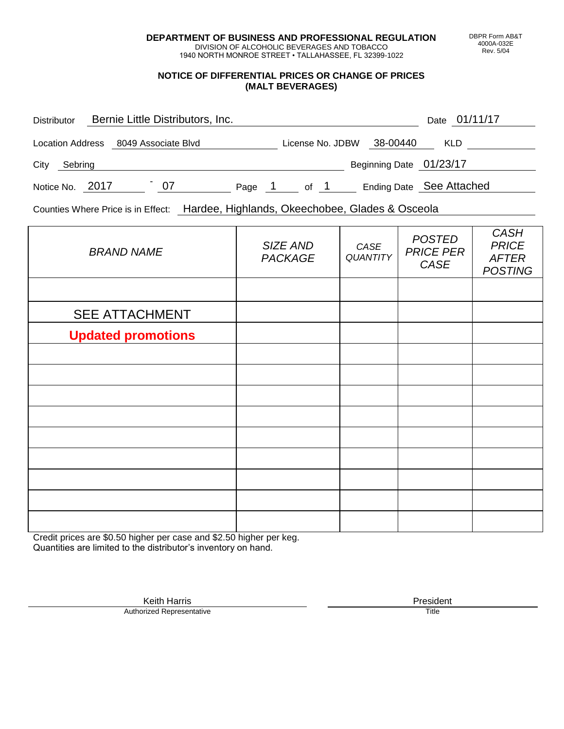**DEPARTMENT OF BUSINESS AND PROFESSIONAL REGULATION** DIVISION OF ALCOHOLIC BEVERAGES AND TOBACCO

1940 NORTH MONROE STREET • TALLAHASSEE, FL 32399-1022

## **NOTICE OF DIFFERENTIAL PRICES OR CHANGE OF PRICES (MALT BEVERAGES)**

| <b>Distributor</b> |  | Bernie Little Distributors, Inc. |        |                  |  |                          | Date 01/11/17 |  |
|--------------------|--|----------------------------------|--------|------------------|--|--------------------------|---------------|--|
| Location Address   |  | 8049 Associate Blvd              |        | License No. JDBW |  | 38-00440                 | <b>KLD</b>    |  |
| City<br>Sebring    |  |                                  |        |                  |  | Beginning Date 01/23/17  |               |  |
| Notice No. 2017    |  | 07                               | Page 1 | of 1             |  | Ending Date See Attached |               |  |

Counties Where Price is in Effect: Hardee, Highlands, Okeechobee, Glades & Osceola

| <b>BRAND NAME</b>         | SIZE AND<br><b>PACKAGE</b> | CASE<br>QUANTITY | <b>POSTED</b><br><b>PRICE PER</b><br>CASE | <b>CASH</b><br><b>PRICE</b><br><b>AFTER</b><br><b>POSTING</b> |
|---------------------------|----------------------------|------------------|-------------------------------------------|---------------------------------------------------------------|
|                           |                            |                  |                                           |                                                               |
| <b>SEE ATTACHMENT</b>     |                            |                  |                                           |                                                               |
| <b>Updated promotions</b> |                            |                  |                                           |                                                               |
|                           |                            |                  |                                           |                                                               |
|                           |                            |                  |                                           |                                                               |
|                           |                            |                  |                                           |                                                               |
|                           |                            |                  |                                           |                                                               |
|                           |                            |                  |                                           |                                                               |
|                           |                            |                  |                                           |                                                               |
|                           |                            |                  |                                           |                                                               |
|                           |                            |                  |                                           |                                                               |
|                           |                            |                  |                                           |                                                               |

Credit prices are \$0.50 higher per case and \$2.50 higher per keg. Quantities are limited to the distributor's inventory on hand.

> Keith Harris **President**<br> **President**<br>
> Prized Representative **President** Authorized Representative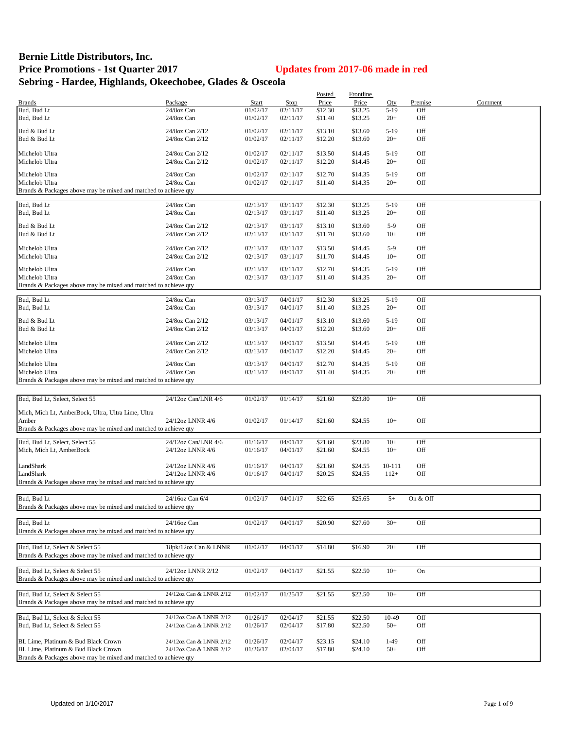## **Bernie Little Distributors, Inc. Price Promotions - 1st Quarter 2017 Updates from 2017-06 made in red Sebring - Hardee, Highlands, Okeechobee, Glades & Osceola**

|                                                                 |                         |          |          | Posted  | Frontline |        |          |         |
|-----------------------------------------------------------------|-------------------------|----------|----------|---------|-----------|--------|----------|---------|
| <b>Brands</b>                                                   | Package                 | Start    | Stop     | Price   | Price     | Qty    | Premise  | Comment |
| Bud, Bud Lt                                                     | 24/8oz Can              | 01/02/17 | 02/11/17 | \$12.30 | \$13.25   | $5-19$ | Off      |         |
| Bud, Bud Lt                                                     | 24/8oz Can              | 01/02/17 | 02/11/17 | \$11.40 | \$13.25   | $20+$  | Off      |         |
|                                                                 |                         |          |          |         |           |        |          |         |
| Bud & Bud Lt                                                    | 24/8oz Can 2/12         | 01/02/17 | 02/11/17 | \$13.10 | \$13.60   | $5-19$ | Off      |         |
| Bud & Bud Lt                                                    | 24/8oz Can 2/12         | 01/02/17 | 02/11/17 | \$12.20 | \$13.60   | $20+$  | Off      |         |
| Michelob Ultra                                                  | 24/8oz Can 2/12         | 01/02/17 | 02/11/17 | \$13.50 | \$14.45   | $5-19$ | Off      |         |
| Michelob Ultra                                                  | 24/8oz Can 2/12         | 01/02/17 | 02/11/17 | \$12.20 | \$14.45   | $20+$  | Off      |         |
|                                                                 |                         |          |          |         |           |        |          |         |
| Michelob Ultra                                                  | 24/8oz Can              | 01/02/17 | 02/11/17 | \$12.70 | \$14.35   | $5-19$ | Off      |         |
| Michelob Ultra                                                  | 24/8oz Can              | 01/02/17 | 02/11/17 | \$11.40 | \$14.35   | $20+$  | Off      |         |
| Brands & Packages above may be mixed and matched to achieve qty |                         |          |          |         |           |        |          |         |
|                                                                 |                         |          |          |         |           |        |          |         |
| Bud, Bud Lt                                                     | 24/8oz Can              | 02/13/17 | 03/11/17 | \$12.30 | \$13.25   | $5-19$ | Off      |         |
| Bud, Bud Lt                                                     | 24/8oz Can              | 02/13/17 | 03/11/17 | \$11.40 | \$13.25   | $20+$  | Off      |         |
|                                                                 |                         |          |          |         |           | $5-9$  |          |         |
| Bud & Bud Lt                                                    | 24/8oz Can 2/12         | 02/13/17 | 03/11/17 | \$13.10 | \$13.60   |        | Off      |         |
| Bud & Bud Lt                                                    | 24/8oz Can 2/12         | 02/13/17 | 03/11/17 | \$11.70 | \$13.60   | $10+$  | Off      |         |
| Michelob Ultra                                                  | 24/8oz Can 2/12         | 02/13/17 | 03/11/17 | \$13.50 | \$14.45   | $5-9$  | Off      |         |
| Michelob Ultra                                                  | 24/8oz Can 2/12         | 02/13/17 | 03/11/17 | \$11.70 | \$14.45   | $10+$  | Off      |         |
|                                                                 |                         |          |          |         |           |        |          |         |
| Michelob Ultra                                                  | 24/8oz Can              | 02/13/17 | 03/11/17 | \$12.70 | \$14.35   | $5-19$ | Off      |         |
| Michelob Ultra                                                  | 24/8oz Can              | 02/13/17 | 03/11/17 | \$11.40 | \$14.35   | $20+$  | Off      |         |
| Brands & Packages above may be mixed and matched to achieve qty |                         |          |          |         |           |        |          |         |
|                                                                 |                         |          |          |         |           |        |          |         |
| Bud, Bud Lt                                                     | 24/8oz Can              | 03/13/17 | 04/01/17 | \$12.30 | \$13.25   | $5-19$ | Off      |         |
| Bud, Bud Lt                                                     | 24/8oz Can              | 03/13/17 | 04/01/17 | \$11.40 | \$13.25   | $20+$  | Off      |         |
|                                                                 |                         |          |          |         |           |        |          |         |
| Bud & Bud Lt                                                    | 24/8oz Can 2/12         | 03/13/17 | 04/01/17 | \$13.10 | \$13.60   | $5-19$ | Off      |         |
| Bud & Bud Lt                                                    | 24/8oz Can 2/12         | 03/13/17 | 04/01/17 | \$12.20 | \$13.60   | $20+$  | Off      |         |
| Michelob Ultra                                                  | 24/8oz Can 2/12         | 03/13/17 | 04/01/17 | \$13.50 | \$14.45   | $5-19$ | Off      |         |
|                                                                 |                         |          |          |         |           |        |          |         |
| Michelob Ultra                                                  | 24/8oz Can 2/12         | 03/13/17 | 04/01/17 | \$12.20 | \$14.45   | $20+$  | Off      |         |
| Michelob Ultra                                                  | 24/8oz Can              | 03/13/17 | 04/01/17 | \$12.70 | \$14.35   | $5-19$ | Off      |         |
| Michelob Ultra                                                  | 24/8oz Can              | 03/13/17 | 04/01/17 | \$11.40 | \$14.35   | $20+$  | Off      |         |
| Brands & Packages above may be mixed and matched to achieve qty |                         |          |          |         |           |        |          |         |
|                                                                 |                         |          |          |         |           |        |          |         |
|                                                                 |                         |          |          |         |           |        |          |         |
| Bud, Bud Lt, Select, Select 55                                  | 24/12oz Can/LNR 4/6     | 01/02/17 | 01/14/17 | \$21.60 | \$23.80   | $10+$  | Off      |         |
| Mich, Mich Lt, AmberBock, Ultra, Ultra Lime, Ultra              |                         |          |          |         |           |        |          |         |
| Amber                                                           | 24/12oz LNNR 4/6        | 01/02/17 | 01/14/17 | \$21.60 | \$24.55   | $10+$  | Off      |         |
| Brands & Packages above may be mixed and matched to achieve qty |                         |          |          |         |           |        |          |         |
|                                                                 |                         |          |          |         |           |        |          |         |
| Bud, Bud Lt, Select, Select 55                                  | 24/12oz Can/LNR 4/6     | 01/16/17 | 04/01/17 | \$21.60 | \$23.80   | $10+$  | Off      |         |
| Mich, Mich Lt, AmberBock                                        | 24/12oz LNNR 4/6        | 01/16/17 | 04/01/17 | \$21.60 | \$24.55   | $10+$  | Off      |         |
|                                                                 |                         |          |          |         |           |        |          |         |
| LandShark                                                       | 24/12oz LNNR 4/6        | 01/16/17 | 04/01/17 | \$21.60 | \$24.55   | 10-111 | Off      |         |
| LandShark                                                       | 24/12oz LNNR 4/6        | 01/16/17 | 04/01/17 | \$20.25 | \$24.55   | $112+$ | Off      |         |
| Brands & Packages above may be mixed and matched to achieve qty |                         |          |          |         |           |        |          |         |
|                                                                 |                         |          |          |         |           |        |          |         |
| Bud, Bud Lt                                                     | 24/16oz Can 6/4         | 01/02/17 | 04/01/17 | \$22.65 | \$25.65   | $5+$   | On & Off |         |
| Brands & Packages above may be mixed and matched to achieve qty |                         |          |          |         |           |        |          |         |
|                                                                 |                         |          |          |         |           |        |          |         |
| Bud, Bud Lt                                                     | 24/16oz Can             | 01/02/17 | 04/01/17 | \$20.90 | \$27.60   | $30+$  | Off      |         |
|                                                                 |                         |          |          |         |           |        |          |         |
| Brands & Packages above may be mixed and matched to achieve qty |                         |          |          |         |           |        |          |         |
|                                                                 |                         |          |          |         |           |        |          |         |
| Bud, Bud Lt, Select & Select 55                                 | 18pk/12oz Can & LNNR    | 01/02/17 | 04/01/17 | \$14.80 | \$16.90   | $20+$  | Off      |         |
| Brands & Packages above may be mixed and matched to achieve qty |                         |          |          |         |           |        |          |         |
|                                                                 | 24/12oz LNNR 2/12       |          |          |         |           |        |          |         |
| Bud, Bud Lt, Select & Select 55                                 |                         | 01/02/17 | 04/01/17 | \$21.55 | \$22.50   | $10+$  | On       |         |
| Brands & Packages above may be mixed and matched to achieve qty |                         |          |          |         |           |        |          |         |
|                                                                 |                         |          |          |         |           |        |          |         |
| Bud, Bud Lt, Select & Select 55                                 | 24/12oz Can & LNNR 2/12 | 01/02/17 | 01/25/17 | \$21.55 | \$22.50   | $10+$  | Off      |         |
| Brands & Packages above may be mixed and matched to achieve qty |                         |          |          |         |           |        |          |         |
| Bud, Bud Lt, Select & Select 55                                 | 24/12oz Can & LNNR 2/12 |          |          |         |           | 10-49  | Off      |         |
|                                                                 |                         | 01/26/17 | 02/04/17 | \$21.55 | \$22.50   |        |          |         |
| Bud, Bud Lt, Select & Select 55                                 | 24/12oz Can & LNNR 2/12 | 01/26/17 | 02/04/17 | \$17.80 | \$22.50   | $50+$  | Off      |         |
|                                                                 |                         |          |          |         |           |        |          |         |
| BL Lime, Platinum & Bud Black Crown                             | 24/12oz Can & LNNR 2/12 | 01/26/17 | 02/04/17 | \$23.15 | \$24.10   | $1-49$ | Off      |         |
| BL Lime, Platinum & Bud Black Crown                             | 24/12oz Can & LNNR 2/12 | 01/26/17 | 02/04/17 | \$17.80 | \$24.10   | $50+$  | Off      |         |
| Brands & Packages above may be mixed and matched to achieve qty |                         |          |          |         |           |        |          |         |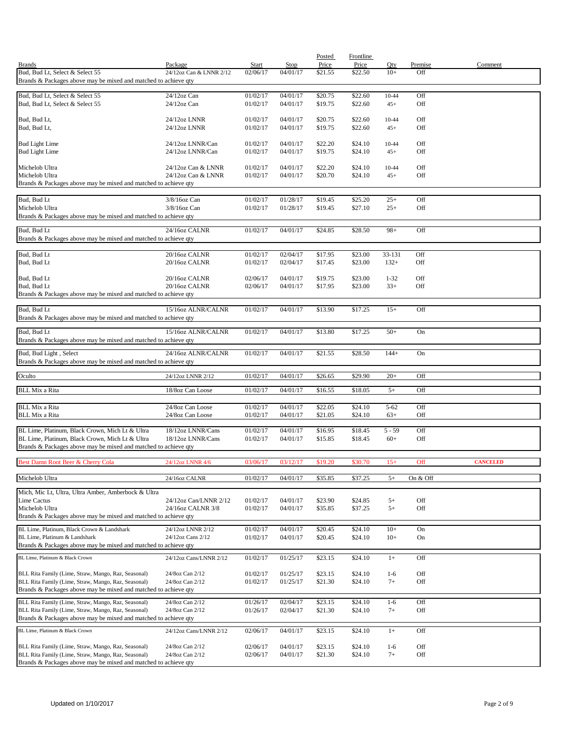|                                                                                                                        |                                        |                          |                         | Posted             | <b>Frontline</b>   |                |                |                 |
|------------------------------------------------------------------------------------------------------------------------|----------------------------------------|--------------------------|-------------------------|--------------------|--------------------|----------------|----------------|-----------------|
| <b>Brands</b><br>Bud, Bud Lt, Select & Select 55                                                                       | Package<br>24/12oz Can & LNNR 2/12     | <b>Start</b><br>02/06/17 | <b>Stop</b><br>04/01/17 | Price<br>\$21.55   | Price<br>\$22.50   | Qty<br>$10+$   | Premise<br>Off | Comment         |
| Brands & Packages above may be mixed and matched to achieve qty                                                        |                                        |                          |                         |                    |                    |                |                |                 |
|                                                                                                                        |                                        |                          |                         |                    |                    |                |                |                 |
| Bud, Bud Lt, Select & Select 55<br>Bud, Bud Lt, Select & Select 55                                                     | 24/12oz Can<br>$24/12$ oz Can          | 01/02/17<br>01/02/17     | 04/01/17<br>04/01/17    | \$20.75<br>\$19.75 | \$22.60<br>\$22.60 | 10-44<br>$45+$ | Off<br>Off     |                 |
|                                                                                                                        |                                        |                          |                         |                    |                    |                |                |                 |
| Bud, Bud Lt,<br>Bud, Bud Lt,                                                                                           | 24/12oz LNNR<br>24/12oz LNNR           | 01/02/17<br>01/02/17     | 04/01/17<br>04/01/17    | \$20.75<br>\$19.75 | \$22.60<br>\$22.60 | 10-44<br>$45+$ | Off<br>Off     |                 |
|                                                                                                                        |                                        |                          |                         |                    |                    |                |                |                 |
| <b>Bud Light Lime</b>                                                                                                  | 24/12oz LNNR/Can                       | 01/02/17                 | 04/01/17                | \$22.20            | \$24.10            | 10-44          | Off            |                 |
| <b>Bud Light Lime</b>                                                                                                  | 24/12oz LNNR/Can                       | 01/02/17                 | 04/01/17                | \$19.75            | \$24.10            | $45+$          | Off            |                 |
| Michelob Ultra                                                                                                         | 24/12oz Can & LNNR                     | 01/02/17                 | 04/01/17                | \$22.20            | \$24.10            | 10-44          | Off            |                 |
| Michelob Ultra                                                                                                         | 24/12oz Can & LNNR                     | 01/02/17                 | 04/01/17                | \$20.70            | \$24.10            | $45+$          | Off            |                 |
| Brands & Packages above may be mixed and matched to achieve qty                                                        |                                        |                          |                         |                    |                    |                |                |                 |
| Bud, Bud Lt                                                                                                            | 3/8/16oz Can                           | 01/02/17                 | 01/28/17                | \$19.45            | \$25.20            | $25+$          | Off            |                 |
| Michelob Ultra                                                                                                         | 3/8/16oz Can                           | 01/02/17                 | 01/28/17                | \$19.45            | \$27.10            | $25+$          | Off            |                 |
| Brands & Packages above may be mixed and matched to achieve qty                                                        |                                        |                          |                         |                    |                    |                |                |                 |
| Bud, Bud Lt                                                                                                            | 24/16oz CALNR                          | 01/02/17                 | 04/01/17                | \$24.85            | \$28.50            | $98+$          | Off            |                 |
| Brands & Packages above may be mixed and matched to achieve qty                                                        |                                        |                          |                         |                    |                    |                |                |                 |
| Bud, Bud Lt                                                                                                            | 20/16oz CALNR                          | 01/02/17                 | 02/04/17                | \$17.95            | \$23.00            | 33-131         | Off            |                 |
| Bud, Bud Lt                                                                                                            | 20/16oz CALNR                          | 01/02/17                 | 02/04/17                | \$17.45            | \$23.00            | $132+$         | Off            |                 |
|                                                                                                                        |                                        |                          |                         |                    |                    |                |                |                 |
| Bud, Bud Lt<br>Bud, Bud Lt                                                                                             | 20/16oz CALNR<br>20/16oz CALNR         | 02/06/17                 | 04/01/17<br>04/01/17    | \$19.75<br>\$17.95 | \$23.00<br>\$23.00 | $1 - 32$       | Off            |                 |
| Brands & Packages above may be mixed and matched to achieve qty                                                        |                                        | 02/06/17                 |                         |                    |                    | $33+$          | Off            |                 |
|                                                                                                                        |                                        |                          |                         |                    |                    |                |                |                 |
| Bud, Bud Lt                                                                                                            | 15/16oz ALNR/CALNR                     | 01/02/17                 | 04/01/17                | \$13.90            | \$17.25            | $15+$          | Off            |                 |
| Brands & Packages above may be mixed and matched to achieve qty                                                        |                                        |                          |                         |                    |                    |                |                |                 |
| Bud, Bud Lt                                                                                                            | 15/16oz ALNR/CALNR                     | 01/02/17                 | 04/01/17                | \$13.80            | \$17.25            | $50+$          | On             |                 |
| Brands & Packages above may be mixed and matched to achieve qty                                                        |                                        |                          |                         |                    |                    |                |                |                 |
| Bud, Bud Light, Select                                                                                                 | 24/16oz ALNR/CALNR                     | 01/02/17                 | 04/01/17                | \$21.55            | \$28.50            | $144+$         | On             |                 |
| Brands & Packages above may be mixed and matched to achieve qty                                                        |                                        |                          |                         |                    |                    |                |                |                 |
| Oculto                                                                                                                 | 24/12oz LNNR 2/12                      | 01/02/17                 | 04/01/17                | \$26.65            | \$29.90            | $20+$          | Off            |                 |
| <b>BLL Mix a Rita</b>                                                                                                  | 18/8oz Can Loose                       | 01/02/17                 | 04/01/17                | \$16.55            | \$18.05            | $5+$           | Off            |                 |
|                                                                                                                        |                                        |                          |                         |                    |                    |                |                |                 |
| <b>BLL Mix a Rita</b>                                                                                                  | 24/8oz Can Loose                       | 01/02/17                 | 04/01/17                | \$22.05            | \$24.10            | $5 - 62$       | Off            |                 |
| <b>BLL Mix a Rita</b>                                                                                                  | 24/8oz Can Loose                       | 01/02/17                 | 04/01/17                | \$21.05            | \$24.10            | $63+$          | Off            |                 |
| BL Lime, Platinum, Black Crown, Mich Lt & Ultra                                                                        | 18/12oz LNNR/Cans                      | 01/02/17                 | 04/01/17                | \$16.95            | \$18.45            | $5 - 59$       | Off            |                 |
| BL Lime, Platinum, Black Crown, Mich Lt & Ultra                                                                        | 18/12oz LNNR/Cans                      | 01/02/17                 | 04/01/17                | \$15.85            | \$18.45            | $60+$          | Off            |                 |
| Brands & Packages above may be mixed and matched to achieve qty                                                        |                                        |                          |                         |                    |                    |                |                |                 |
| Best Damn Root Beer & Cherry Cola                                                                                      | 24/12oz LNNR 4/6                       | 03/06/17                 | 03/12/17                | \$19.20            | \$30.70            | $15+$          | Off            | <b>CANCELED</b> |
|                                                                                                                        |                                        |                          |                         |                    |                    |                |                |                 |
| Michelob Ultra                                                                                                         | 24/16oz CALNR                          | 01/02/17                 | 04/01/17                | \$35.85            | \$37.25            | $5+$           | On & Off       |                 |
| Mich, Mic Lt, Ultra, Ultra Amber, Amberbock & Ultra                                                                    |                                        |                          |                         |                    |                    |                |                |                 |
| Lime Cactus                                                                                                            | 24/12oz Can/LNNR 2/12                  | 01/02/17                 | 04/01/17                | \$23.90            | \$24.85            | $5+$           | Off            |                 |
| Michelob Ultra<br>Brands & Packages above may be mixed and matched to achieve qty                                      | 24/16oz CALNR 3/8                      | 01/02/17                 | 04/01/17                | \$35.85            | \$37.25            | $5+$           | Off            |                 |
|                                                                                                                        |                                        |                          |                         |                    |                    |                |                |                 |
| BL Lime, Platinum, Black Crown & Landshark<br>BL Lime, Platinum & Landshark                                            | 24/12oz LNNR 2/12<br>24/12oz Cans 2/12 | 01/02/17<br>01/02/17     | 04/01/17<br>04/01/17    | \$20.45<br>\$20.45 | \$24.10<br>\$24.10 | $10+$<br>$10+$ | On<br>On       |                 |
| Brands & Packages above may be mixed and matched to achieve qty                                                        |                                        |                          |                         |                    |                    |                |                |                 |
| BL Lime, Platinum & Black Crown                                                                                        | 24/12oz Cans/LNNR 2/12                 | 01/02/17                 | 01/25/17                | \$23.15            | \$24.10            | $1+$           | Off            |                 |
|                                                                                                                        |                                        |                          |                         |                    |                    |                |                |                 |
| BLL Rita Family (Lime, Straw, Mango, Raz, Seasonal)                                                                    | 24/8oz Can 2/12                        | 01/02/17                 | 01/25/17                | \$23.15            | \$24.10            | $1-6$          | Off            |                 |
| BLL Rita Family (Lime, Straw, Mango, Raz, Seasonal)<br>Brands & Packages above may be mixed and matched to achieve qty | 24/8oz Can 2/12                        | 01/02/17                 | 01/25/17                | \$21.30            | \$24.10            | $7+$           | Off            |                 |
|                                                                                                                        |                                        | 01/26/17                 | 02/04/17                |                    |                    | $1-6$          | Off            |                 |
| BLL Rita Family (Lime, Straw, Mango, Raz, Seasonal)<br>BLL Rita Family (Lime, Straw, Mango, Raz, Seasonal)             | 24/8oz Can 2/12<br>24/8oz Can 2/12     | 01/26/17                 | 02/04/17                | \$23.15<br>\$21.30 | \$24.10<br>\$24.10 | $7+$           | Off            |                 |
| Brands & Packages above may be mixed and matched to achieve qty                                                        |                                        |                          |                         |                    |                    |                |                |                 |
| BL Lime, Platinum & Black Crown                                                                                        | 24/12oz Cans/LNNR 2/12                 | 02/06/17                 | 04/01/17                | \$23.15            | \$24.10            | $1+$           | Off            |                 |
|                                                                                                                        |                                        |                          |                         |                    |                    |                |                |                 |
| BLL Rita Family (Lime, Straw, Mango, Raz, Seasonal)<br>BLL Rita Family (Lime, Straw, Mango, Raz, Seasonal)             | 24/8oz Can 2/12<br>24/8oz Can 2/12     | 02/06/17                 | 04/01/17                | \$23.15            | \$24.10            | $1-6$          | Off            |                 |
| Brands & Packages above may be mixed and matched to achieve qty                                                        |                                        | 02/06/17                 | 04/01/17                | \$21.30            | \$24.10            | $7+$           | Off            |                 |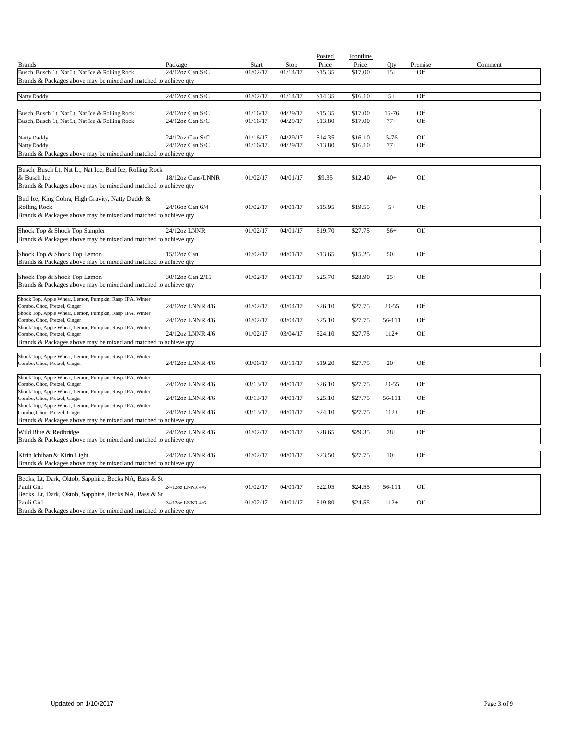|                                                                                           |                   |          |          | Posted  | <b>Frontline</b> |           |         |         |
|-------------------------------------------------------------------------------------------|-------------------|----------|----------|---------|------------------|-----------|---------|---------|
| <b>Brands</b>                                                                             | Package           | Start    | Stop     | Price   | Price            | Oty       | Premise | Comment |
| Busch, Busch Lt, Nat Lt, Nat Ice & Rolling Rock                                           | 24/12oz Can S/C   | 01/02/17 | 01/14/17 | \$15.35 | \$17.00          | $15+$     | Off     |         |
| Brands & Packages above may be mixed and matched to achieve qty                           |                   |          |          |         |                  |           |         |         |
| <b>Natty Daddy</b>                                                                        | 24/12oz Can S/C   | 01/02/17 | 01/14/17 | \$14.35 | \$16.10          | $5+$      | Off     |         |
|                                                                                           |                   |          |          |         |                  |           |         |         |
| Busch, Busch Lt, Nat Lt, Nat Ice & Rolling Rock                                           | 24/12oz Can S/C   | 01/16/17 | 04/29/17 | \$15.35 | \$17.00          | 15-76     | Off     |         |
| Busch, Busch Lt, Nat Lt, Nat Ice & Rolling Rock                                           | 24/12oz Can S/C   | 01/16/17 | 04/29/17 | \$13.80 | \$17.00          | $77+$     | Off     |         |
|                                                                                           |                   |          |          |         |                  |           |         |         |
| Natty Daddy                                                                               | 24/12oz Can S/C   | 01/16/17 | 04/29/17 | \$14.35 | \$16.10          | $5 - 76$  | Off     |         |
| Natty Daddy                                                                               | 24/12oz Can S/C   | 01/16/17 | 04/29/17 | \$13.80 | \$16.10          | $77+$     | Off     |         |
| Brands & Packages above may be mixed and matched to achieve qty                           |                   |          |          |         |                  |           |         |         |
| Busch, Busch Lt, Nat Lt, Nat Ice, Bud Ice, Rolling Rock                                   |                   |          |          |         |                  |           |         |         |
| & Busch Ice                                                                               | 18/12oz Cans/LNNR | 01/02/17 | 04/01/17 | \$9.35  | \$12.40          | $40+$     | Off     |         |
| Brands & Packages above may be mixed and matched to achieve qty                           |                   |          |          |         |                  |           |         |         |
|                                                                                           |                   |          |          |         |                  |           |         |         |
| Bud Ice, King Cobra, High Gravity, Natty Daddy &                                          |                   |          |          |         |                  |           |         |         |
| <b>Rolling Rock</b><br>Brands & Packages above may be mixed and matched to achieve qty    | 24/16oz Can 6/4   | 01/02/17 | 04/01/17 | \$15.95 | \$19.55          | $5+$      | Off     |         |
|                                                                                           |                   |          |          |         |                  |           |         |         |
| Shock Top & Shock Top Sampler                                                             | 24/12oz LNNR      | 01/02/17 | 04/01/17 | \$19.70 | \$27.75          | $56+$     | Off     |         |
| Brands & Packages above may be mixed and matched to achieve qty                           |                   |          |          |         |                  |           |         |         |
|                                                                                           |                   |          |          |         |                  |           |         |         |
| Shock Top & Shock Top Lemon                                                               | 15/12oz Can       | 01/02/17 | 04/01/17 | \$13.65 | \$15.25          | $50+$     | Off     |         |
| Brands & Packages above may be mixed and matched to achieve qty                           |                   |          |          |         |                  |           |         |         |
| Shock Top & Shock Top Lemon                                                               | 30/12oz Can 2/15  | 01/02/17 | 04/01/17 | \$25.70 | \$28.90          | $25+$     | Off     |         |
| Brands & Packages above may be mixed and matched to achieve qty                           |                   |          |          |         |                  |           |         |         |
|                                                                                           |                   |          |          |         |                  |           |         |         |
| Shock Top, Apple Wheat, Lemon, Pumpkin, Rasp, IPA, Winter                                 |                   |          |          |         |                  |           |         |         |
| Combo, Choc, Pretzel, Ginger<br>Shock Top, Apple Wheat, Lemon, Pumpkin, Rasp, IPA, Winter | 24/12oz LNNR 4/6  | 01/02/17 | 03/04/17 | \$26.10 | \$27.75          | $20 - 55$ | Off     |         |
| Combo, Choc, Pretzel, Ginger                                                              | 24/12oz LNNR 4/6  | 01/02/17 | 03/04/17 | \$25.10 | \$27.75          | 56-111    | Off     |         |
| Shock Top, Apple Wheat, Lemon, Pumpkin, Rasp, IPA, Winter                                 |                   |          |          |         |                  |           |         |         |
| Combo, Choc, Pretzel, Ginger                                                              | 24/12oz LNNR 4/6  | 01/02/17 | 03/04/17 | \$24.10 | \$27.75          | $112+$    | Off     |         |
| Brands & Packages above may be mixed and matched to achieve qty                           |                   |          |          |         |                  |           |         |         |
| Shock Top, Apple Wheat, Lemon, Pumpkin, Rasp, IPA, Winter                                 |                   |          |          |         |                  |           |         |         |
| Combo, Choc, Pretzel, Ginger                                                              | 24/12oz LNNR 4/6  | 03/06/17 | 03/11/17 | \$19.20 | \$27.75          | $20+$     | Off     |         |
| Shock Top, Apple Wheat, Lemon, Pumpkin, Rasp, IPA, Winter                                 |                   |          |          |         |                  |           |         |         |
| Combo, Choc, Pretzel, Ginger                                                              | 24/12oz LNNR 4/6  | 03/13/17 | 04/01/17 | \$26.10 | \$27.75          | $20 - 55$ | Off     |         |
| Shock Top, Apple Wheat, Lemon, Pumpkin, Rasp, IPA, Winter                                 |                   |          |          |         |                  |           |         |         |
| Combo, Choc, Pretzel, Ginger                                                              | 24/12oz LNNR 4/6  | 03/13/17 | 04/01/17 | \$25.10 | \$27.75          | 56-111    | Off     |         |
| Shock Top, Apple Wheat, Lemon, Pumpkin, Rasp, IPA, Winter<br>Combo, Choc, Pretzel, Ginger | 24/12oz LNNR 4/6  | 03/13/17 | 04/01/17 | \$24.10 | \$27.75          | $112+$    | Off     |         |
| Brands & Packages above may be mixed and matched to achieve qty                           |                   |          |          |         |                  |           |         |         |
| Wild Blue & Redbridge                                                                     | 24/12oz LNNR 4/6  | 01/02/17 | 04/01/17 | \$28.65 | \$29.35          | $28+$     | Off     |         |
| Brands & Packages above may be mixed and matched to achieve qty                           |                   |          |          |         |                  |           |         |         |
|                                                                                           |                   |          |          |         |                  |           |         |         |
| Kirin Ichiban & Kirin Light                                                               | 24/12oz LNNR 4/6  | 01/02/17 | 04/01/17 | \$23.50 | \$27.75          | $10+$     | Off     |         |
| Brands & Packages above may be mixed and matched to achieve qty                           |                   |          |          |         |                  |           |         |         |
|                                                                                           |                   |          |          |         |                  |           |         |         |
| Becks, Lt, Dark, Oktob, Sapphire, Becks NA, Bass & St                                     |                   |          |          |         |                  |           |         |         |
| Pauli Girl<br>Becks, Lt, Dark, Oktob, Sapphire, Becks NA, Bass & St                       | 24/12oz LNNR 4/6  | 01/02/17 | 04/01/17 | \$22.05 | \$24.55          | 56-111    | Off     |         |
| Pauli Girl                                                                                | 24/12oz LNNR 4/6  | 01/02/17 | 04/01/17 | \$19.80 | \$24.55          | $112+$    | Off     |         |
| Brands & Packages above may be mixed and matched to achieve qty                           |                   |          |          |         |                  |           |         |         |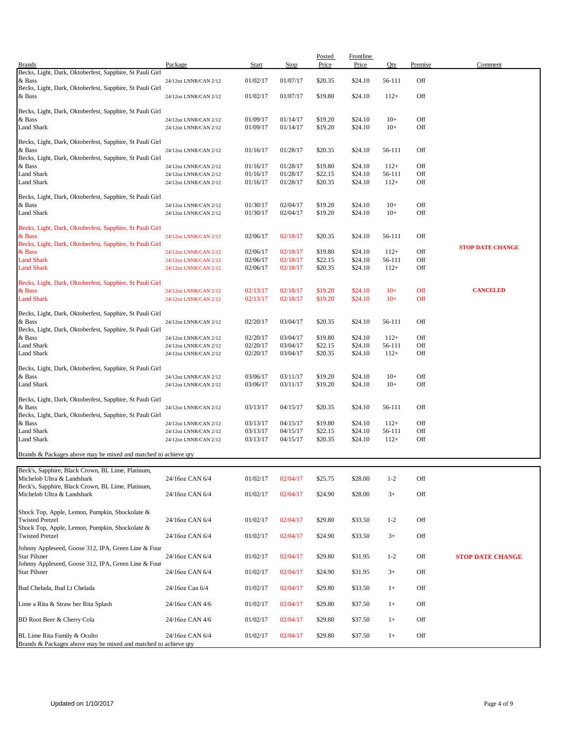| <b>Brands</b>                                                                   | Package                                        | <b>Start</b>         | Stop                 | Posted<br>Price    | <b>Frontline</b><br>Price | Qty              | Premise    | Comment                 |
|---------------------------------------------------------------------------------|------------------------------------------------|----------------------|----------------------|--------------------|---------------------------|------------------|------------|-------------------------|
| Becks, Light, Dark, Oktoberfest, Sapphire, St Pauli Girl                        |                                                |                      |                      |                    |                           |                  |            |                         |
| & Bass                                                                          | 24/12oz LNNR/CAN 2/12                          | 01/02/17             | 01/07/17             | \$20.35            | \$24.10                   | 56-111           | Off        |                         |
| Becks, Light, Dark, Oktoberfest, Sapphire, St Pauli Girl<br>& Bass              | 24/12oz LNNR/CAN 2/12                          | 01/02/17             | 01/07/17             | \$19.80            | \$24.10                   | $112+$           | Off        |                         |
|                                                                                 |                                                |                      |                      |                    |                           |                  |            |                         |
| Becks, Light, Dark, Oktoberfest, Sapphire, St Pauli Girl<br>& Bass              | 24/12oz LNNR/CAN 2/12                          | 01/09/17             | 01/14/17             | \$19.20            | \$24.10                   | $10+$            | Off        |                         |
| <b>Land Shark</b>                                                               | 24/12oz LNNR/CAN 2/12                          | 01/09/17             | 01/14/17             | \$19.20            | \$24.10                   | $10+$            | Off        |                         |
|                                                                                 |                                                |                      |                      |                    |                           |                  |            |                         |
| Becks, Light, Dark, Oktoberfest, Sapphire, St Pauli Girl<br>& Bass              | 24/12oz LNNR/CAN 2/12                          | 01/16/17             | 01/28/17             | \$20.35            | \$24.10                   | 56-111           | Off        |                         |
| Becks, Light, Dark, Oktoberfest, Sapphire, St Pauli Girl                        |                                                |                      |                      |                    |                           |                  |            |                         |
| & Bass                                                                          | 24/12oz LNNR/CAN 2/12                          | 01/16/17             | 01/28/17             | \$19.80            | \$24.10                   | $112+$           | Off        |                         |
| <b>Land Shark</b>                                                               | 24/12oz LNNR/CAN 2/12                          | 01/16/17             | 01/28/17             | \$22.15            | \$24.10                   | 56-111           | Off        |                         |
| <b>Land Shark</b>                                                               | 24/12oz LNNR/CAN 2/12                          | 01/16/17             | 01/28/17             | \$20.35            | \$24.10                   | $112+$           | Off        |                         |
| Becks, Light, Dark, Oktoberfest, Sapphire, St Pauli Girl                        |                                                |                      |                      |                    |                           |                  |            |                         |
| & Bass<br><b>Land Shark</b>                                                     | 24/12oz LNNR/CAN 2/12                          | 01/30/17             | 02/04/17             | \$19.20            | \$24.10                   | $10+$<br>$10+$   | Off<br>Off |                         |
|                                                                                 | 24/12oz LNNR/CAN 2/12                          | 01/30/17             | 02/04/17             | \$19.20            | \$24.10                   |                  |            |                         |
| Becks, Light, Dark, Oktoberfest, Sapphire, St Pauli Girl                        |                                                |                      |                      |                    |                           |                  |            |                         |
| & Bass<br>Becks, Light, Dark, Oktoberfest, Sapphire, St Pauli Girl              | 24/12oz LNNR/CAN 2/12                          | 02/06/17             | 02/18/17             | \$20.35            | \$24.10                   | 56-111           | Off        |                         |
| & Bass                                                                          | 24/12oz LNNR/CAN 2/12                          | 02/06/17             | 02/18/17             | \$19.80            | \$24.10                   | $112+$           | Off        | <b>STOP DATE CHANGE</b> |
| <b>Land Shark</b>                                                               | 24/12oz LNNR/CAN 2/12                          | 02/06/17             | 02/18/17             | \$22.15            | \$24.10                   | 56-111           | Off        |                         |
| <b>Land Shark</b>                                                               | 24/12oz LNNR/CAN 2/12                          | 02/06/17             | 02/18/17             | \$20.35            | \$24.10                   | $112+$           | Off        |                         |
| Becks, Light, Dark, Oktoberfest, Sapphire, St Pauli Girl                        |                                                |                      |                      |                    |                           |                  |            |                         |
| & Bass                                                                          | 24/12oz LNNR/CAN 2/12                          | 02/13/17             | 02/18/17             | \$19.20            | \$24.10                   | $10+$            | Off        | <b>CANCELED</b>         |
| <b>Land Shark</b>                                                               | 24/12oz LNNR/CAN 2/12                          | 02/13/17             | 02/18/17             | \$19.20            | \$24.10                   | $10+$            | Off        |                         |
| Becks, Light, Dark, Oktoberfest, Sapphire, St Pauli Girl                        |                                                |                      |                      |                    |                           |                  |            |                         |
| & Bass                                                                          | 24/12oz LNNR/CAN 2/12                          | 02/20/17             | 03/04/17             | \$20.35            | \$24.10                   | 56-111           | Off        |                         |
| Becks, Light, Dark, Oktoberfest, Sapphire, St Pauli Girl                        |                                                |                      |                      |                    |                           |                  |            |                         |
| & Bass                                                                          | 24/12oz LNNR/CAN 2/12                          | 02/20/17             | 03/04/17             | \$19.80            | \$24.10                   | $112+$           | Off        |                         |
| <b>Land Shark</b><br><b>Land Shark</b>                                          | 24/12oz LNNR/CAN 2/12<br>24/12oz LNNR/CAN 2/12 | 02/20/17<br>02/20/17 | 03/04/17<br>03/04/17 | \$22.15<br>\$20.35 | \$24.10<br>\$24.10        | 56-111<br>$112+$ | Off<br>Off |                         |
|                                                                                 |                                                |                      |                      |                    |                           |                  |            |                         |
| Becks, Light, Dark, Oktoberfest, Sapphire, St Pauli Girl                        |                                                |                      |                      |                    |                           |                  |            |                         |
| & Bass<br><b>Land Shark</b>                                                     | 24/12oz LNNR/CAN 2/12<br>24/12oz LNNR/CAN 2/12 | 03/06/17<br>03/06/17 | 03/11/17<br>03/11/17 | \$19.20<br>\$19.20 | \$24.10<br>\$24.10        | $10+$<br>$10+$   | Off<br>Off |                         |
|                                                                                 |                                                |                      |                      |                    |                           |                  |            |                         |
| Becks, Light, Dark, Oktoberfest, Sapphire, St Pauli Girl                        |                                                |                      |                      |                    |                           |                  |            |                         |
| & Bass<br>Becks, Light, Dark, Oktoberfest, Sapphire, St Pauli Girl              | 24/12oz LNNR/CAN 2/12                          | 03/13/17             | 04/15/17             | \$20.35            | \$24.10                   | 56-111           | Off        |                         |
| & Bass                                                                          | 24/12oz LNNR/CAN 2/12                          | 03/13/17             | 04/15/17             | \$19.80            | \$24.10                   | $112+$           | Off        |                         |
| <b>Land Shark</b>                                                               | 24/12oz LNNR/CAN 2/12                          | 03/13/17             | 04/15/17             | \$22.15            | \$24.10                   | 56-111           | Off        |                         |
| <b>Land Shark</b>                                                               | 24/12oz LNNR/CAN 2/12                          | 03/13/17             | 04/15/17             | \$20.35            | \$24.10                   | $112+$           | Off        |                         |
| Brands & Packages above may be mixed and matched to achieve qty                 |                                                |                      |                      |                    |                           |                  |            |                         |
|                                                                                 |                                                |                      |                      |                    |                           |                  |            |                         |
| Beck's, Sapphire, Black Crown, BL Lime, Platinum,                               |                                                |                      |                      |                    |                           |                  |            |                         |
| Michelob Ultra & Landshark<br>Beck's, Sapphire, Black Crown, BL Lime, Platinum, | 24/16oz CAN 6/4                                | 01/02/17             | 02/04/17             | \$25.75            | \$28.00                   | $1 - 2$          | Off        |                         |
| Michelob Ultra & Landshark                                                      | 24/16oz CAN 6/4                                | 01/02/17             | 02/04/17             | \$24.90            | \$28.00                   | $3+$             | Off        |                         |
|                                                                                 |                                                |                      |                      |                    |                           |                  |            |                         |
| Shock Top, Apple, Lemon, Pumpkin, Shockolate &                                  |                                                |                      |                      |                    |                           |                  |            |                         |
| <b>Twisted Pretzel</b><br>Shock Top, Apple, Lemon, Pumpkin, Shockolate &        | 24/16oz CAN 6/4                                | 01/02/17             | 02/04/17             | \$29.80            | \$33.50                   | $1 - 2$          | Off        |                         |
| <b>Twisted Pretzel</b>                                                          | 24/16oz CAN 6/4                                | 01/02/17             | 02/04/17             | \$24.90            | \$33.50                   | $3+$             | Off        |                         |
| Johnny Appleseed, Goose 312, IPA, Green Line & Four                             |                                                |                      |                      |                    |                           |                  |            |                         |
| <b>Star Pilsner</b>                                                             | 24/16oz CAN 6/4                                | 01/02/17             | 02/04/17             | \$29.80            | \$31.95                   | $1 - 2$          | Off        | <b>STOP DATE CHANGE</b> |
| Johnny Appleseed, Goose 312, IPA, Green Line & Four                             |                                                |                      |                      |                    |                           |                  |            |                         |
| <b>Star Pilsner</b>                                                             | 24/16oz CAN 6/4                                | 01/02/17             | 02/04/17             | \$24.90            | \$31.95                   | $3+$             | Off        |                         |
| Bud Chelada, Bud Lt Chelada                                                     | 24/16oz Can 6/4                                | 01/02/17             | 02/04/17             | \$29.80            | \$33.50                   | $1+$             | Off        |                         |
|                                                                                 |                                                |                      |                      |                    |                           |                  |            |                         |
| Lime a Rita & Straw ber Rita Splash                                             | 24/16oz CAN 4/6                                | 01/02/17             | 02/04/17             | \$29.80            | \$37.50                   | $1+$             | Off        |                         |
| BD Root Beer & Cherry Cola                                                      | 24/16oz CAN 4/6                                | 01/02/17             | 02/04/17             | \$29.80            | \$37.50                   | $1+$             | Off        |                         |
|                                                                                 |                                                |                      |                      |                    |                           |                  |            |                         |
| BL Lime Rita Family & Oculto                                                    | 24/16oz CAN 6/4                                | 01/02/17             | 02/04/17             | \$29.80            | \$37.50                   | $1+$             | Off        |                         |
| Brands & Packages above may be mixed and matched to achieve qty                 |                                                |                      |                      |                    |                           |                  |            |                         |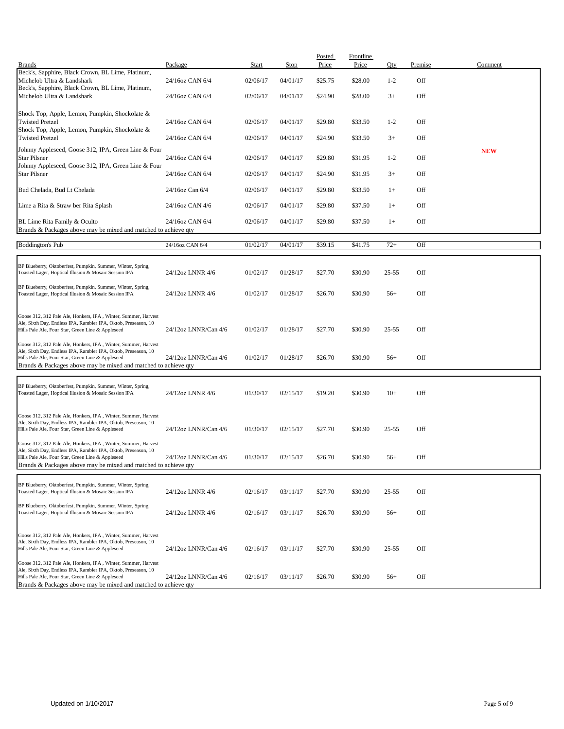| <b>Brands</b>                                                                                                        | Package              | <b>Start</b> | Stop     | Posted<br>Price | <b>Frontline</b><br>Price | Qty       | Premise | Comment    |
|----------------------------------------------------------------------------------------------------------------------|----------------------|--------------|----------|-----------------|---------------------------|-----------|---------|------------|
| Beck's, Sapphire, Black Crown, BL Lime, Platinum,<br>Michelob Ultra & Landshark                                      | 24/16oz CAN 6/4      | 02/06/17     | 04/01/17 | \$25.75         | \$28.00                   | $1 - 2$   | Off     |            |
| Beck's, Sapphire, Black Crown, BL Lime, Platinum,                                                                    |                      |              |          |                 |                           |           |         |            |
| Michelob Ultra & Landshark                                                                                           | 24/16oz CAN 6/4      | 02/06/17     | 04/01/17 | \$24.90         | \$28.00                   | $3+$      | Off     |            |
| Shock Top, Apple, Lemon, Pumpkin, Shockolate &                                                                       |                      |              |          |                 |                           |           |         |            |
| <b>Twisted Pretzel</b><br>Shock Top, Apple, Lemon, Pumpkin, Shockolate &                                             | 24/16oz CAN 6/4      | 02/06/17     | 04/01/17 | \$29.80         | \$33.50                   | $1 - 2$   | Off     |            |
| <b>Twisted Pretzel</b>                                                                                               | 24/16oz CAN 6/4      | 02/06/17     | 04/01/17 | \$24.90         | \$33.50                   | $3+$      | Off     |            |
| Johnny Appleseed, Goose 312, IPA, Green Line & Four                                                                  |                      |              |          |                 |                           |           |         | <b>NEW</b> |
| Star Pilsner<br>Johnny Appleseed, Goose 312, IPA, Green Line & Four                                                  | 24/16oz CAN 6/4      | 02/06/17     | 04/01/17 | \$29.80         | \$31.95                   | $1 - 2$   | Off     |            |
| <b>Star Pilsner</b>                                                                                                  | 24/16oz CAN 6/4      | 02/06/17     | 04/01/17 | \$24.90         | \$31.95                   | $3+$      | Off     |            |
| Bud Chelada, Bud Lt Chelada                                                                                          | 24/16oz Can 6/4      | 02/06/17     | 04/01/17 | \$29.80         | \$33.50                   | $1+$      | Off     |            |
| Lime a Rita & Straw ber Rita Splash                                                                                  | 24/16oz CAN 4/6      | 02/06/17     | 04/01/17 | \$29.80         | \$37.50                   | $1+$      | Off     |            |
| BL Lime Rita Family & Oculto                                                                                         | 24/16oz CAN 6/4      | 02/06/17     | 04/01/17 | \$29.80         | \$37.50                   | $1+$      | Off     |            |
| Brands & Packages above may be mixed and matched to achieve qty                                                      |                      |              |          |                 |                           |           |         |            |
| <b>Boddington's Pub</b>                                                                                              | 24/16oz CAN 6/4      | 01/02/17     | 04/01/17 | \$39.15         | \$41.75                   | $72+$     | Off     |            |
| BP Blueberry, Oktoberfest, Pumpkin, Summer, Winter, Spring,                                                          |                      |              |          |                 |                           |           |         |            |
| Toasted Lager, Hoptical Illusion & Mosaic Session IPA                                                                | 24/12oz LNNR 4/6     | 01/02/17     | 01/28/17 | \$27.70         | \$30.90                   | $25 - 55$ | Off     |            |
| BP Blueberry, Oktoberfest, Pumpkin, Summer, Winter, Spring,                                                          |                      |              |          |                 |                           |           |         |            |
| Toasted Lager, Hoptical Illusion & Mosaic Session IPA                                                                | 24/12oz LNNR 4/6     | 01/02/17     | 01/28/17 | \$26.70         | \$30.90                   | $56+$     | Off     |            |
| Goose 312, 312 Pale Ale, Honkers, IPA, Winter, Summer, Harvest                                                       |                      |              |          |                 |                           |           |         |            |
| Ale, Sixth Day, Endless IPA, Rambler IPA, Oktob, Preseason, 10<br>Hills Pale Ale, Four Star, Green Line & Appleseed  | 24/12oz LNNR/Can 4/6 | 01/02/17     | 01/28/17 | \$27.70         | \$30.90                   | $25 - 55$ | Off     |            |
| Goose 312, 312 Pale Ale, Honkers, IPA, Winter, Summer, Harvest                                                       |                      |              |          |                 |                           |           |         |            |
| Ale, Sixth Day, Endless IPA, Rambler IPA, Oktob, Preseason, 10                                                       |                      |              |          |                 |                           |           |         |            |
| Hills Pale Ale, Four Star, Green Line & Appleseed<br>Brands & Packages above may be mixed and matched to achieve qty | 24/12oz LNNR/Can 4/6 | 01/02/17     | 01/28/17 | \$26.70         | \$30.90                   | $56+$     | Off     |            |
|                                                                                                                      |                      |              |          |                 |                           |           |         |            |
| BP Blueberry, Oktoberfest, Pumpkin, Summer, Winter, Spring,<br>Toasted Lager, Hoptical Illusion & Mosaic Session IPA | 24/12oz LNNR 4/6     | 01/30/17     | 02/15/17 | \$19.20         | \$30.90                   | $10+$     | Off     |            |
|                                                                                                                      |                      |              |          |                 |                           |           |         |            |
| Goose 312, 312 Pale Ale, Honkers, IPA, Winter, Summer, Harvest                                                       |                      |              |          |                 |                           |           |         |            |
| Ale, Sixth Day, Endless IPA, Rambler IPA, Oktob, Preseason, 10<br>Hills Pale Ale, Four Star, Green Line & Appleseed  | 24/12oz LNNR/Can 4/6 | 01/30/17     | 02/15/17 | \$27.70         | \$30.90                   | $25 - 55$ | Off     |            |
| Goose 312, 312 Pale Ale, Honkers, IPA, Winter, Summer, Harvest                                                       |                      |              |          |                 |                           |           |         |            |
| Ale, Sixth Day, Endless IPA, Rambler IPA, Oktob, Preseason, 10<br>Hills Pale Ale, Four Star, Green Line & Appleseed  | 24/12oz LNNR/Can 4/6 | 01/30/17     | 02/15/17 | \$26.70         | \$30.90                   | $56+$     | Off     |            |
| Brands & Packages above may be mixed and matched to achieve qty                                                      |                      |              |          |                 |                           |           |         |            |
| BP Blueberry, Oktoberfest, Pumpkin, Summer, Winter, Spring,                                                          |                      |              |          |                 |                           |           |         |            |
| Toasted Lager, Hoptical Illusion & Mosaic Session IPA                                                                | 24/12oz LNNR 4/6     | 02/16/17     | 03/11/17 | \$27.70         | \$30.90                   | $25 - 55$ | Off     |            |
| BP Blueberry, Oktoberfest, Pumpkin, Summer, Winter, Spring,                                                          |                      |              |          |                 |                           |           |         |            |
| Toasted Lager, Hoptical Illusion & Mosaic Session IPA                                                                | 24/12oz LNNR 4/6     | 02/16/17     | 03/11/17 | \$26.70         | \$30.90                   | $56+$     | Off     |            |
| Goose 312, 312 Pale Ale, Honkers, IPA, Winter, Summer, Harvest                                                       |                      |              |          |                 |                           |           |         |            |
| Ale, Sixth Day, Endless IPA, Rambler IPA, Oktob, Preseason, 10<br>Hills Pale Ale, Four Star, Green Line & Appleseed  | 24/12oz LNNR/Can 4/6 | 02/16/17     | 03/11/17 | \$27.70         | \$30.90                   | $25 - 55$ | Off     |            |
| Goose 312, 312 Pale Ale, Honkers, IPA, Winter, Summer, Harvest                                                       |                      |              |          |                 |                           |           |         |            |
| Ale, Sixth Day, Endless IPA, Rambler IPA, Oktob, Preseason, 10                                                       |                      |              |          |                 |                           |           |         |            |
| Hills Pale Ale, Four Star, Green Line & Appleseed<br>Brands & Packages above may be mixed and matched to achieve qty | 24/12oz LNNR/Can 4/6 | 02/16/17     | 03/11/17 | \$26.70         | \$30.90                   | $56+$     | Off     |            |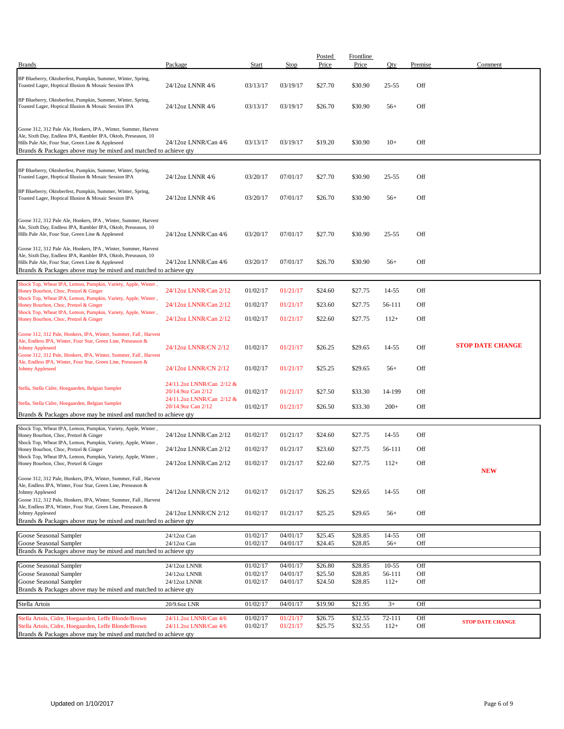| <b>Brands</b>                                                                                                                                                                                                                                                                                   | Package                                         | Start                | Stop                 | Posted<br>Price    | <b>Frontline</b><br>Price | Qty               | Premise    | Comment                 |
|-------------------------------------------------------------------------------------------------------------------------------------------------------------------------------------------------------------------------------------------------------------------------------------------------|-------------------------------------------------|----------------------|----------------------|--------------------|---------------------------|-------------------|------------|-------------------------|
|                                                                                                                                                                                                                                                                                                 |                                                 |                      |                      |                    |                           |                   |            |                         |
| BP Blueberry, Oktoberfest, Pumpkin, Summer, Winter, Spring,<br>Toasted Lager, Hoptical Illusion & Mosaic Session IPA                                                                                                                                                                            | 24/12oz LNNR 4/6                                | 03/13/17             | 03/19/17             | \$27.70            | \$30.90                   | $25 - 55$         | Off        |                         |
| BP Blueberry, Oktoberfest, Pumpkin, Summer, Winter, Spring,<br>Toasted Lager, Hoptical Illusion & Mosaic Session IPA                                                                                                                                                                            | 24/12oz LNNR 4/6                                | 03/13/17             | 03/19/17             | \$26.70            | \$30.90                   | $56+$             | Off        |                         |
| Goose 312, 312 Pale Ale, Honkers, IPA, Winter, Summer, Harvest<br>Ale, Sixth Day, Endless IPA, Rambler IPA, Oktob, Preseason, 10<br>Hills Pale Ale, Four Star, Green Line & Appleseed<br>Brands & Packages above may be mixed and matched to achieve qty                                        | 24/12oz LNNR/Can 4/6                            | 03/13/17             | 03/19/17             | \$19.20            | \$30.90                   | $10+$             | Off        |                         |
|                                                                                                                                                                                                                                                                                                 |                                                 |                      |                      |                    |                           |                   |            |                         |
| BP Blueberry, Oktoberfest, Pumpkin, Summer, Winter, Spring,<br>Toasted Lager, Hoptical Illusion & Mosaic Session IPA                                                                                                                                                                            | 24/12oz LNNR 4/6                                | 03/20/17             | 07/01/17             | \$27.70            | \$30.90                   | $25 - 55$         | Off        |                         |
| BP Blueberry, Oktoberfest, Pumpkin, Summer, Winter, Spring,<br>Toasted Lager, Hoptical Illusion & Mosaic Session IPA                                                                                                                                                                            | 24/12oz LNNR 4/6                                | 03/20/17             | 07/01/17             | \$26.70            | \$30.90                   | $56+$             | Off        |                         |
| Goose 312, 312 Pale Ale, Honkers, IPA, Winter, Summer, Harvest<br>Ale, Sixth Day, Endless IPA, Rambler IPA, Oktob, Preseason, 10<br>Hills Pale Ale, Four Star, Green Line & Appleseed                                                                                                           | 24/12oz LNNR/Can 4/6                            | 03/20/17             | 07/01/17             | \$27.70            | \$30.90                   | $25 - 55$         | Off        |                         |
| Goose 312, 312 Pale Ale, Honkers, IPA, Winter, Summer, Harvest<br>Ale, Sixth Day, Endless IPA, Rambler IPA, Oktob, Preseason, 10<br>Hills Pale Ale, Four Star, Green Line & Appleseed<br>Brands & Packages above may be mixed and matched to achieve qty                                        | 24/12oz LNNR/Can 4/6                            | 03/20/17             | 07/01/17             | \$26.70            | \$30.90                   | $56+$             | Off        |                         |
| Shock Top, Wheat IPA, Lemon, Pumpkin, Variety, Apple, Winter,<br>Honey Bourbon, Choc, Pretzel & Ginger                                                                                                                                                                                          | 24/12oz LNNR/Can 2/12                           | 01/02/17             | 01/21/17             | \$24.60            | \$27.75                   | 14-55             | Off        |                         |
| Shock Top, Wheat IPA, Lemon, Pumpkin, Variety, Apple, Winter,<br>Honey Bourbon, Choc, Pretzel & Ginger                                                                                                                                                                                          | 24/12oz LNNR/Can 2/12                           | 01/02/17             | 01/21/17             | \$23.60            | \$27.75                   | 56-111            | Off        |                         |
| Shock Top, Wheat IPA, Lemon, Pumpkin, Variety, Apple, Winter,                                                                                                                                                                                                                                   |                                                 |                      |                      |                    |                           |                   |            |                         |
| Honey Bourbon, Choc, Pretzel & Ginger                                                                                                                                                                                                                                                           | 24/12oz LNNR/Can 2/12                           | 01/02/17             | 01/21/17             | \$22.60            | \$27.75                   | $112+$            | Off        |                         |
| Goose 312, 312 Pale, Honkers, IPA, Winter, Summer, Fall, Harvest<br>Ale, Endless IPA, Winter, Four Star, Green Line, Preseason &<br><b>Johnny Appleseed</b><br>Goose 312, 312 Pale, Honkers, IPA, Winter, Summer, Fall, Harvest<br>Ale, Endless IPA, Winter, Four Star, Green Line, Preseason & | 24/12oz LNNR/CN 2/12                            | 01/02/17             | 01/21/17             | \$26.25            | \$29.65                   | 14-55             | Off        | <b>STOP DATE CHANGE</b> |
| <b>Johnny Appleseed</b>                                                                                                                                                                                                                                                                         | 24/12oz LNNR/CN 2/12                            | 01/02/17             | 01/21/17             | \$25.25            | \$29.65                   | $56+$             | Off        |                         |
| Stella, Stella Cidre, Hoegaarden, Belgian Sampler                                                                                                                                                                                                                                               | 24/11.2oz LNNR/Can 2/12 &<br>20/14.9oz Can 2/12 | 01/02/17             | 01/21/17             | \$27.50            | \$33.30                   | 14-199            | Off        |                         |
| Stella, Stella Cidre, Hoegaarden, Belgian Sampler<br>Brands & Packages above may be mixed and matched to achieve qty                                                                                                                                                                            | 24/11.2oz LNNR/Can 2/12 &<br>20/14.9oz Can 2/12 | 01/02/17             | 01/21/17             | \$26.50            | \$33.30                   | $200+$            | Off        |                         |
|                                                                                                                                                                                                                                                                                                 |                                                 |                      |                      |                    |                           |                   |            |                         |
| Shock Top, Wheat IPA, Lemon, Pumpkin, Variety, Apple, Winter,<br>Honey Bourbon, Choc, Pretzel & Ginger                                                                                                                                                                                          | 24/12oz LNNR/Can 2/12                           | 01/02/17             | 01/21/17             | \$24.60            | \$27.75                   | 14-55             | Off        |                         |
| Shock Top, Wheat IPA, Lemon, Pumpkin, Variety, Apple, Winter,<br>Honey Bourbon, Choc, Pretzel & Ginger                                                                                                                                                                                          | 24/12oz LNNR/Can 2/12                           | 01/02/17             | 01/21/17             | \$23.60            | \$27.75                   | 56-111            | Off        |                         |
| Shock Top, Wheat IPA, Lemon, Pumpkin, Variety, Apple, Winter,<br>Honey Bourbon, Choc, Pretzel & Ginger                                                                                                                                                                                          | 24/12oz LNNR/Can 2/12                           | 01/02/17             | 01/21/17             | \$22.60            | \$27.75                   | $112+$            | Off        |                         |
| Goose 312, 312 Pale, Honkers, IPA, Winter, Summer, Fall, Harvest<br>Ale, Endless IPA, Winter, Four Star, Green Line, Preseason &                                                                                                                                                                |                                                 |                      |                      |                    |                           |                   |            | <b>NEW</b>              |
| Johnny Appleseed<br>Goose 312, 312 Pale, Honkers, IPA, Winter, Summer, Fall, Harvest                                                                                                                                                                                                            | 24/12oz LNNR/CN 2/12                            | 01/02/17             | 01/21/17             | \$26.25            | \$29.65                   | 14-55             | Off        |                         |
| Ale, Endless IPA, Winter, Four Star, Green Line, Preseason &<br>Johnny Appleseed<br>Brands & Packages above may be mixed and matched to achieve gty                                                                                                                                             | 24/12oz LNNR/CN 2/12                            | 01/02/17             | 01/21/17             | \$25.25            | \$29.65                   | $56+$             | Off        |                         |
|                                                                                                                                                                                                                                                                                                 |                                                 |                      |                      |                    |                           |                   |            |                         |
| Goose Seasonal Sampler                                                                                                                                                                                                                                                                          | 24/12oz Can                                     | 01/02/17             | 04/01/17             | \$25.45            | \$28.85                   | 14-55             | Off        |                         |
| Goose Seasonal Sampler<br>Brands & Packages above may be mixed and matched to achieve qty                                                                                                                                                                                                       | 24/12oz Can                                     | 01/02/17             | 04/01/17             | \$24.45            | \$28.85                   | $56+$             | Off        |                         |
|                                                                                                                                                                                                                                                                                                 |                                                 |                      |                      |                    |                           |                   |            |                         |
| Goose Seasonal Sampler<br>Goose Seasonal Sampler                                                                                                                                                                                                                                                | 24/12oz LNNR<br>24/12oz LNNR                    | 01/02/17<br>01/02/17 | 04/01/17<br>04/01/17 | \$26.80<br>\$25.50 | \$28.85<br>\$28.85        | $10-55$<br>56-111 | Off<br>Off |                         |
| Goose Seasonal Sampler                                                                                                                                                                                                                                                                          | 24/12oz LNNR                                    | 01/02/17             | 04/01/17             | \$24.50            | \$28.85                   | $112+$            | Off        |                         |
| Brands & Packages above may be mixed and matched to achieve qty                                                                                                                                                                                                                                 |                                                 |                      |                      |                    |                           |                   |            |                         |
| Stella Artois                                                                                                                                                                                                                                                                                   | 20/9.6oz LNR                                    | 01/02/17             | 04/01/17             | \$19.90            | \$21.95                   | $3+$              | Off        |                         |
| Stella Artois, Cidre, Hoegaarden, Leffe Blonde/Brown                                                                                                                                                                                                                                            | 24/11.2oz LNNR/Can 4/6                          | 01/02/17             | 01/21/17             | \$26.75            | \$32.55                   | 72-111            | Off        |                         |
| Stella Artois, Cidre, Hoegaarden, Leffe Blonde/Brown<br>Brands & Packages above may be mixed and matched to achieve qty                                                                                                                                                                         | 24/11.2oz LNNR/Can 4/6                          | 01/02/17             | 01/21/17             | \$25.75            | \$32.55                   | $112+$            | Off        | <b>STOP DATE CHANGE</b> |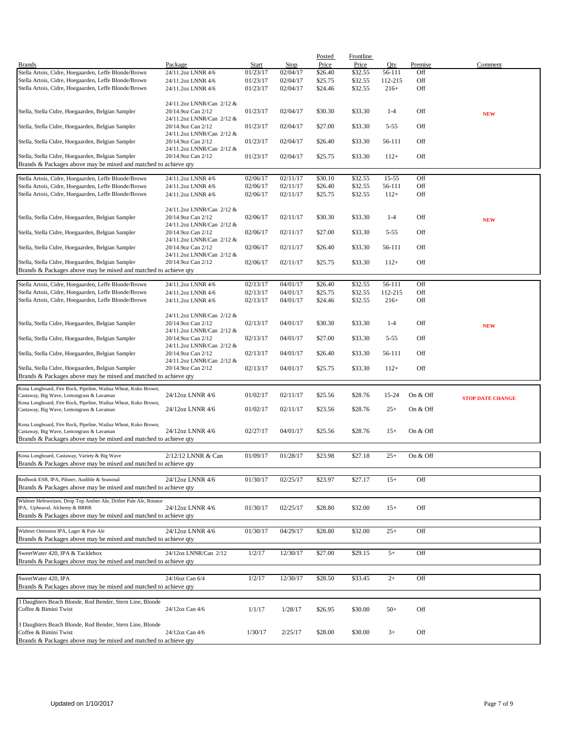|                                                                                          |                           |          |          | Posted  | <b>Frontline</b> |           |          |                         |
|------------------------------------------------------------------------------------------|---------------------------|----------|----------|---------|------------------|-----------|----------|-------------------------|
| <b>Brands</b>                                                                            | Package                   | Start    | Stop     | Price   | Price            | Qty       | Premise  | Comment                 |
| Stella Artois, Cidre, Hoegaarden, Leffe Blonde/Brown                                     | 24/11.2oz LNNR 4/6        | 01/23/17 | 02/04/17 | \$26.40 | \$32.55          | 56-111    | Off      |                         |
| Stella Artois, Cidre, Hoegaarden, Leffe Blonde/Brown                                     | 24/11.2oz LNNR 4/6        | 01/23/17 | 02/04/17 | \$25.75 | \$32.55          | 112-215   | Off      |                         |
| Stella Artois, Cidre, Hoegaarden, Leffe Blonde/Brown                                     | 24/11.2oz LNNR 4/6        | 01/23/17 | 02/04/17 | \$24.46 | \$32.55          | $216+$    | Off      |                         |
|                                                                                          |                           |          |          |         |                  |           |          |                         |
|                                                                                          | 24/11.2oz LNNR/Can 2/12 & |          |          |         |                  |           |          |                         |
| Stella, Stella Cidre, Hoegaarden, Belgian Sampler                                        | 20/14.9oz Can 2/12        | 01/23/17 | 02/04/17 | \$30.30 | \$33.30          | $1 - 4$   | Off      | <b>NEW</b>              |
|                                                                                          | 24/11.2oz LNNR/Can 2/12 & |          |          |         |                  |           |          |                         |
| Stella, Stella Cidre, Hoegaarden, Belgian Sampler                                        | 20/14.9oz Can 2/12        | 01/23/17 | 02/04/17 | \$27.00 | \$33.30          | $5 - 55$  | Off      |                         |
|                                                                                          | 24/11.2oz LNNR/Can 2/12 & |          |          |         |                  |           |          |                         |
| Stella, Stella Cidre, Hoegaarden, Belgian Sampler                                        | 20/14.9oz Can 2/12        | 01/23/17 | 02/04/17 | \$26.40 | \$33.30          | 56-111    | Off      |                         |
|                                                                                          | 24/11.2oz LNNR/Can 2/12 & |          |          |         |                  |           |          |                         |
| Stella, Stella Cidre, Hoegaarden, Belgian Sampler                                        | 20/14.9oz Can 2/12        | 01/23/17 | 02/04/17 | \$25.75 | \$33.30          | $112+$    | Off      |                         |
| Brands & Packages above may be mixed and matched to achieve qty                          |                           |          |          |         |                  |           |          |                         |
|                                                                                          |                           |          |          |         |                  |           |          |                         |
| Stella Artois, Cidre, Hoegaarden, Leffe Blonde/Brown                                     | 24/11.2oz LNNR 4/6        | 02/06/17 | 02/11/17 | \$30.10 | \$32.55          | $15 - 55$ | Off      |                         |
| Stella Artois, Cidre, Hoegaarden, Leffe Blonde/Brown                                     | 24/11.2oz LNNR 4/6        | 02/06/17 | 02/11/17 | \$26.40 | \$32.55          | 56-111    | Off      |                         |
| Stella Artois, Cidre, Hoegaarden, Leffe Blonde/Brown                                     | 24/11.2oz LNNR 4/6        | 02/06/17 | 02/11/17 | \$25.75 | \$32.55          | $112+$    | Off      |                         |
|                                                                                          |                           |          |          |         |                  |           |          |                         |
|                                                                                          | 24/11.2oz LNNR/Can 2/12 & |          |          |         |                  |           |          |                         |
| Stella, Stella Cidre, Hoegaarden, Belgian Sampler                                        | 20/14.9oz Can 2/12        | 02/06/17 | 02/11/17 | \$30.30 | \$33.30          | $1 - 4$   | Off      | <b>NEW</b>              |
|                                                                                          | 24/11.2oz LNNR/Can 2/12 & |          |          |         |                  |           |          |                         |
| Stella, Stella Cidre, Hoegaarden, Belgian Sampler                                        | 20/14.9oz Can 2/12        | 02/06/17 | 02/11/17 | \$27.00 | \$33.30          | $5 - 55$  | Off      |                         |
|                                                                                          | 24/11.2oz LNNR/Can 2/12 & |          |          |         |                  |           |          |                         |
| Stella, Stella Cidre, Hoegaarden, Belgian Sampler                                        | 20/14.9oz Can 2/12        | 02/06/17 | 02/11/17 | \$26.40 | \$33.30          | 56-111    | Off      |                         |
|                                                                                          | 24/11.2oz LNNR/Can 2/12 & |          |          |         |                  |           |          |                         |
| Stella, Stella Cidre, Hoegaarden, Belgian Sampler                                        | 20/14.9oz Can 2/12        | 02/06/17 | 02/11/17 | \$25.75 | \$33.30          | $112+$    | Off      |                         |
| Brands & Packages above may be mixed and matched to achieve qty                          |                           |          |          |         |                  |           |          |                         |
|                                                                                          |                           |          |          |         |                  |           |          |                         |
| Stella Artois, Cidre, Hoegaarden, Leffe Blonde/Brown                                     | 24/11.2oz LNNR 4/6        | 02/13/17 | 04/01/17 | \$26.40 | \$32.55          | 56-111    | Off      |                         |
| Stella Artois, Cidre, Hoegaarden, Leffe Blonde/Brown                                     | 24/11.2oz LNNR 4/6        | 02/13/17 | 04/01/17 | \$25.75 | \$32.55          | 112-215   | Off      |                         |
| Stella Artois, Cidre, Hoegaarden, Leffe Blonde/Brown                                     | 24/11.2oz LNNR 4/6        | 02/13/17 | 04/01/17 | \$24.46 | \$32.55          | $216+$    | Off      |                         |
|                                                                                          |                           |          |          |         |                  |           |          |                         |
|                                                                                          | 24/11.2oz LNNR/Can 2/12 & |          |          |         |                  |           |          |                         |
| Stella, Stella Cidre, Hoegaarden, Belgian Sampler                                        | 20/14.9oz Can 2/12        | 02/13/17 | 04/01/17 | \$30.30 | \$33.30          | $1 - 4$   | Off      |                         |
|                                                                                          |                           |          |          |         |                  |           |          | <b>NEW</b>              |
|                                                                                          | 24/11.2oz LNNR/Can 2/12 & |          |          |         |                  |           | Off      |                         |
| Stella, Stella Cidre, Hoegaarden, Belgian Sampler                                        | 20/14.9oz Can 2/12        | 02/13/17 | 04/01/17 | \$27.00 | \$33.30          | $5 - 55$  |          |                         |
|                                                                                          | 24/11.2oz LNNR/Can 2/12 & |          |          |         |                  |           |          |                         |
| Stella, Stella Cidre, Hoegaarden, Belgian Sampler                                        | 20/14.9oz Can 2/12        | 02/13/17 | 04/01/17 | \$26.40 | \$33.30          | 56-111    | Off      |                         |
|                                                                                          | 24/11.2oz LNNR/Can 2/12 & |          |          |         |                  |           |          |                         |
| Stella, Stella Cidre, Hoegaarden, Belgian Sampler                                        | 20/14.9oz Can 2/12        | 02/13/17 | 04/01/17 | \$25.75 | \$33.30          | $112+$    | Off      |                         |
| Brands & Packages above may be mixed and matched to achieve qty                          |                           |          |          |         |                  |           |          |                         |
| Kona Longboard, Fire Rock, Pipeline, Wailua Wheat, Koko Brown,                           |                           |          |          |         |                  |           |          |                         |
| Castaway, Big Wave, Lemongrass & Lavaman                                                 | 24/12oz LNNR 4/6          | 01/02/17 | 02/11/17 | \$25.56 | \$28.76          | 15-24     | On & Off |                         |
| Kona Longboard, Fire Rock, Pipeline, Wailua Wheat, Koko Brown,                           |                           |          |          |         |                  |           |          | <b>STOP DATE CHANGE</b> |
| Castaway, Big Wave, Lemongrass & Lavaman                                                 | 24/12oz LNNR 4/6          | 01/02/17 | 02/11/17 | \$23.56 | \$28.76          | $25+$     | On & Off |                         |
|                                                                                          |                           |          |          |         |                  |           |          |                         |
|                                                                                          |                           |          |          |         |                  |           |          |                         |
| Kona Longboard, Fire Rock, Pipeline, Wailua Wheat, Koko Brown,                           |                           |          |          |         |                  |           |          |                         |
| Castaway, Big Wave, Lemongrass & Lavaman                                                 | 24/12oz LNNR 4/6          | 02/27/17 | 04/01/17 | \$25.56 | \$28.76          | $15+$     | On & Off |                         |
|                                                                                          |                           |          |          |         |                  |           |          |                         |
| Brands & Packages above may be mixed and matched to achieve qty                          |                           |          |          |         |                  |           |          |                         |
|                                                                                          |                           |          |          |         |                  |           |          |                         |
| Kona Longboard, Castaway, Variety & Big Wave                                             | 2/12/12 LNNR & Can        | 01/09/17 | 01/28/17 | \$23.98 | \$27.18          | $25+$     | On & Off |                         |
| Brands & Packages above may be mixed and matched to achieve qty                          |                           |          |          |         |                  |           |          |                         |
|                                                                                          |                           |          |          |         |                  |           |          |                         |
| Redhook ESB, IPA, Pilsner, Audible & Seasonal                                            | 24/12oz LNNR 4/6          | 01/30/17 | 02/25/17 | \$23.97 | \$27.17          | $15+$     | Off      |                         |
| Brands & Packages above may be mixed and matched to achieve qty                          |                           |          |          |         |                  |           |          |                         |
|                                                                                          |                           |          |          |         |                  |           |          |                         |
| Widmer Hefeweizen, Drop Top Amber Ale, Drifter Pale Ale, Rotator                         |                           |          |          |         |                  |           |          |                         |
| IPA, Upheaval, Alchemy & BRRR                                                            | 24/12oz LNNR 4/6          | 01/30/17 | 02/25/17 | \$28.80 | \$32.00          | $15+$     | Off      |                         |
| Brands & Packages above may be mixed and matched to achieve qty                          |                           |          |          |         |                  |           |          |                         |
|                                                                                          |                           |          |          |         |                  |           |          |                         |
| Widmer Omission IPA, Lager & Pale Ale                                                    | 24/12oz LNNR 4/6          | 01/30/17 | 04/29/17 | \$28.80 | \$32.00          | $25+$     | Off      |                         |
| Brands & Packages above may be mixed and matched to achieve qty                          |                           |          |          |         |                  |           |          |                         |
| SweetWater 420, IPA & Tacklebox                                                          |                           |          |          |         |                  |           |          |                         |
|                                                                                          | 24/12oz LNNR/Can 2/12     | 1/2/17   | 12/30/17 | \$27.00 | \$29.15          | $5+$      | Off      |                         |
| Brands & Packages above may be mixed and matched to achieve qty                          |                           |          |          |         |                  |           |          |                         |
|                                                                                          |                           |          |          |         |                  |           |          |                         |
| SweetWater 420, IPA                                                                      | 24/16oz Can 6/4           | 1/2/17   | 12/30/17 | \$28.50 | \$33.45          | $2+$      | Off      |                         |
| Brands & Packages above may be mixed and matched to achieve qty                          |                           |          |          |         |                  |           |          |                         |
|                                                                                          |                           |          |          |         |                  |           |          |                         |
| 3 Daughters Beach Blonde, Rod Bender, Stern Line, Blonde                                 |                           |          |          |         |                  |           |          |                         |
| Coffee & Bimini Twist                                                                    | 24/12oz Can 4/6           | 1/1/17   | 1/28/17  | \$26.95 | \$30.00          | $50+$     | Off      |                         |
|                                                                                          |                           |          |          |         |                  |           |          |                         |
| 3 Daughters Beach Blonde, Rod Bender, Stern Line, Blonde                                 |                           |          |          |         |                  |           |          |                         |
| Coffee & Bimini Twist<br>Brands & Packages above may be mixed and matched to achieve qty | 24/12oz Can 4/6           | 1/30/17  | 2/25/17  | \$28.00 | \$30.00          | $3+$      | Off      |                         |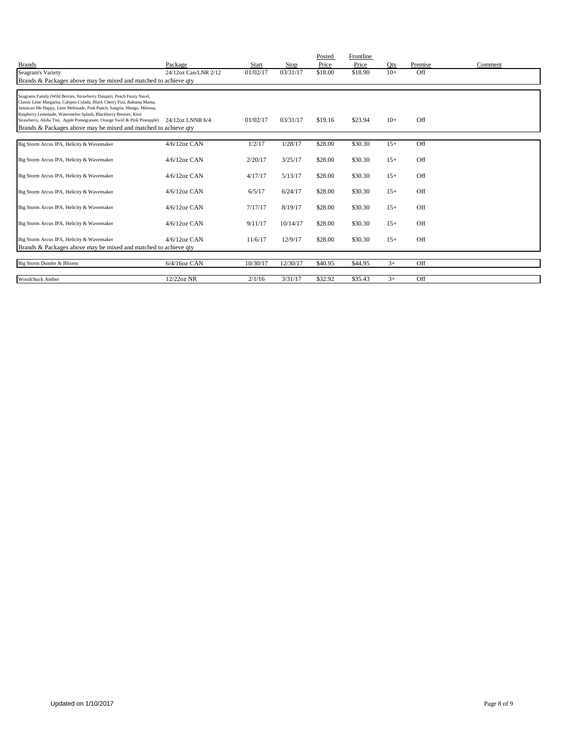| <b>Brands</b>                                                                                                                                                                                                                                                                                 | Package              | <b>Start</b> | Stop     | Posted<br>Price | Frontline<br>Price | Oty   | Premise | Comment |
|-----------------------------------------------------------------------------------------------------------------------------------------------------------------------------------------------------------------------------------------------------------------------------------------------|----------------------|--------------|----------|-----------------|--------------------|-------|---------|---------|
| Seagram's Variety                                                                                                                                                                                                                                                                             | 24/12oz Can/LNR 2/12 | 01/02/17     | 03/31/17 | \$18.00         | \$18.90            | $10+$ | Off     |         |
| Brands & Packages above may be mixed and matched to achieve qty                                                                                                                                                                                                                               |                      |              |          |                 |                    |       |         |         |
|                                                                                                                                                                                                                                                                                               |                      |              |          |                 |                    |       |         |         |
| Seagrams Family (Wild Berries, Strawberry Daiquiri, Peach Fuzzy Navel,<br>Classic Lime Margarita, Calypso Colada, Black Cherry Fizz, Bahama Mama,<br>Jamaican Me Happy, Lime Melonade, Pink Punch, Sangria, Mango, Mimosa,<br>Raspberry Lemonade, Watermelon Splash, Blackberry Breezer, Kiwi |                      |              |          |                 |                    |       | Off     |         |
| Strawberry, Aloha Tini, Apple Pomegranate, Orange Swirl & Pink Pineapple) 24/12oz LNNR 6/4<br>Brands & Packages above may be mixed and matched to achieve qty                                                                                                                                 |                      | 01/02/17     | 03/31/17 | \$19.16         | \$23.94            | $10+$ |         |         |
|                                                                                                                                                                                                                                                                                               |                      |              |          |                 |                    |       |         |         |
| Big Storm Arcus IPA, Helicity & Wavemaker                                                                                                                                                                                                                                                     | $4/6/12$ oz CAN      | 1/2/17       | 1/28/17  | \$28.00         | \$30.30            | $15+$ | Off     |         |
| Big Storm Arcus IPA, Helicity & Wavemaker                                                                                                                                                                                                                                                     | $4/6/12$ oz CAN      | 2/20/17      | 3/25/17  | \$28.00         | \$30.30            | $15+$ | Off     |         |
| Big Storm Arcus IPA, Helicity & Wavemaker                                                                                                                                                                                                                                                     | $4/6/12$ oz CAN      | 4/17/17      | 5/13/17  | \$28.00         | \$30.30            | $15+$ | Off     |         |
| Big Storm Arcus IPA, Helicity & Wavemaker                                                                                                                                                                                                                                                     | $4/6/12$ oz CAN      | 6/5/17       | 6/24/17  | \$28.00         | \$30.30            | $15+$ | Off     |         |
| Big Storm Arcus IPA, Helicity & Wavemaker                                                                                                                                                                                                                                                     | $4/6/12$ oz CAN      | 7/17/17      | 8/19/17  | \$28.00         | \$30.30            | $15+$ | Off     |         |
| Big Storm Arcus IPA, Helicity & Wavemaker                                                                                                                                                                                                                                                     | $4/6/12$ oz CAN      | 9/11/17      | 10/14/17 | \$28.00         | \$30.30            | $15+$ | Off     |         |
| Big Storm Arcus IPA, Helicity & Wavemaker                                                                                                                                                                                                                                                     | $4/6/12$ oz CAN      | 11/6/17      | 12/9/17  | \$28.00         | \$30.30            | $15+$ | Off     |         |
| Brands & Packages above may be mixed and matched to achieve qty                                                                                                                                                                                                                               |                      |              |          |                 |                    |       |         |         |
| Big Storm Dunder & Blixem                                                                                                                                                                                                                                                                     | $6/4/16$ oz CAN      | 10/30/17     | 12/30/17 | \$40.95         | \$44.95            | $3+$  | Off     |         |
| Woodchuck Amber                                                                                                                                                                                                                                                                               | 12/22oz NR           | 2/1/16       | 3/31/17  | \$32.92         | \$35.43            | $3+$  | Off     |         |